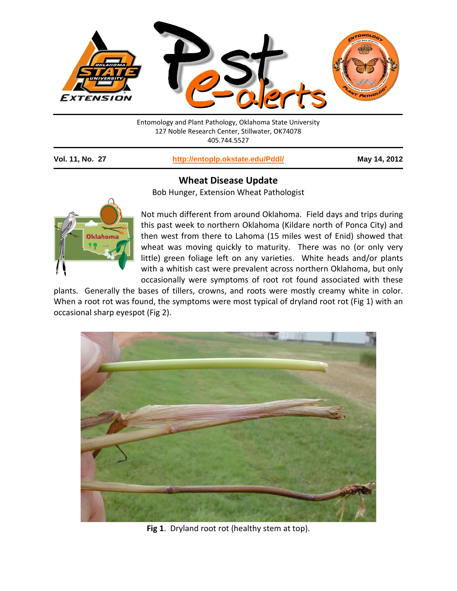

Entomology and Plant Pathology, Oklahoma State University 127 Noble Research Center, Stillwater, OK74078 405.744.5527

**Vol. 11, No. 27 <http://entoplp.okstate.edu/Pddl/> May 14, 2012**

## **Wheat Disease Update**

Bob Hunger, Extension Wheat Pathologist



Not much different from around Oklahoma. Field days and trips during this past week to northern Oklahoma (Kildare north of Ponca City) and then west from there to Lahoma (15 miles west of Enid) showed that wheat was moving quickly to maturity. There was no (or only very little) green foliage left on any varieties. White heads and/or plants with a whitish cast were prevalent across northern Oklahoma, but only occasionally were symptoms of root rot found associated with these

plants. Generally the bases of tillers, crowns, and roots were mostly creamy white in color. When a root rot was found, the symptoms were most typical of dryland root rot (Fig 1) with an occasional sharp eyespot (Fig 2).



**Fig 1**. Dryland root rot (healthy stem at top).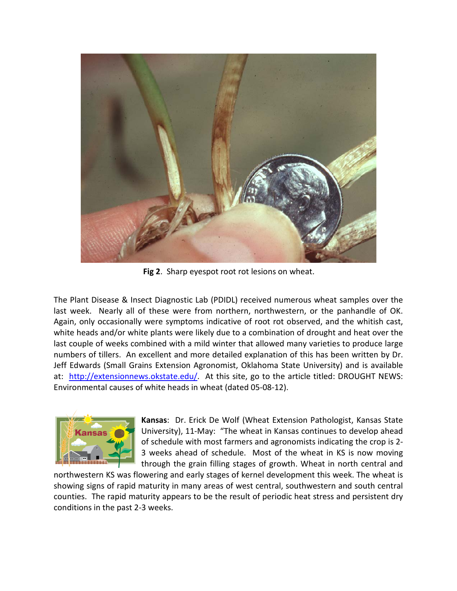

**Fig 2**. Sharp eyespot root rot lesions on wheat.

The Plant Disease & Insect Diagnostic Lab (PDIDL) received numerous wheat samples over the last week. Nearly all of these were from northern, northwestern, or the panhandle of OK. Again, only occasionally were symptoms indicative of root rot observed, and the whitish cast, white heads and/or white plants were likely due to a combination of drought and heat over the last couple of weeks combined with a mild winter that allowed many varieties to produce large numbers of tillers. An excellent and more detailed explanation of this has been written by Dr. Jeff Edwards (Small Grains Extension Agronomist, Oklahoma State University) and is available at: [http://extensionnews.okstate.edu/.](http://extensionnews.okstate.edu/) At this site, go to the article titled: DROUGHT NEWS: Environmental causes of white heads in wheat (dated 05-08-12).



**Kansas**: Dr. Erick De Wolf (Wheat Extension Pathologist, Kansas State University), 11-May: "The wheat in Kansas continues to develop ahead of schedule with most farmers and agronomists indicating the crop is 2- 3 weeks ahead of schedule. Most of the wheat in KS is now moving through the grain filling stages of growth. Wheat in north central and

northwestern KS was flowering and early stages of kernel development this week. The wheat is showing signs of rapid maturity in many areas of west central, southwestern and south central counties. The rapid maturity appears to be the result of periodic heat stress and persistent dry conditions in the past 2-3 weeks.